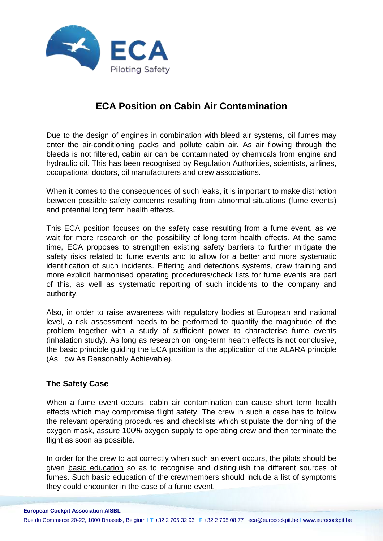

# **ECA Position on Cabin Air Contamination**

Due to the design of engines in combination with bleed air systems, oil fumes may enter the air-conditioning packs and pollute cabin air. As air flowing through the bleeds is not filtered, cabin air can be contaminated by chemicals from engine and hydraulic oil. This has been recognised by Regulation Authorities, scientists, airlines, occupational doctors, oil manufacturers and crew associations.

When it comes to the consequences of such leaks, it is important to make distinction between possible safety concerns resulting from abnormal situations (fume events) and potential long term health effects.

This ECA position focuses on the safety case resulting from a fume event, as we wait for more research on the possibility of long term health effects. At the same time, ECA proposes to strengthen existing safety barriers to further mitigate the safety risks related to fume events and to allow for a better and more systematic identification of such incidents. Filtering and detections systems, crew training and more explicit harmonised operating procedures/check lists for fume events are part of this, as well as systematic reporting of such incidents to the company and authority.

Also, in order to raise awareness with regulatory bodies at European and national level, a risk assessment needs to be performed to quantify the magnitude of the problem together with a study of sufficient power to characterise fume events (inhalation study). As long as research on long-term health effects is not conclusive, the basic principle guiding the ECA position is the application of the ALARA principle (As Low As Reasonably Achievable).

# **The Safety Case**

When a fume event occurs, cabin air contamination can cause short term health effects which may compromise flight safety. The crew in such a case has to follow the relevant operating procedures and checklists which stipulate the donning of the oxygen mask, assure 100% oxygen supply to operating crew and then terminate the flight as soon as possible.

In order for the crew to act correctly when such an event occurs, the pilots should be given basic education so as to recognise and distinguish the different sources of fumes. Such basic education of the crewmembers should include a list of symptoms they could encounter in the case of a fume event.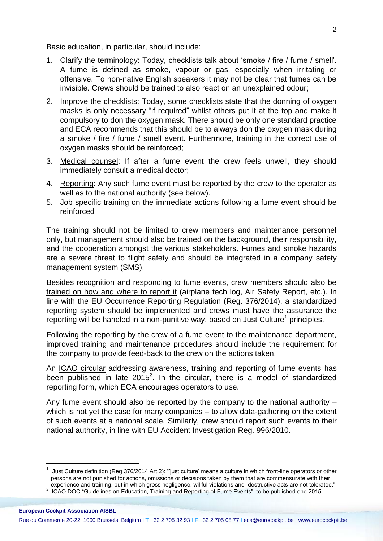Basic education, in particular, should include:

- 1. Clarify the terminology: Today, checklists talk about 'smoke / fire / fume / smell'. A fume is defined as smoke, vapour or gas, especially when irritating or offensive. To non-native English speakers it may not be clear that fumes can be invisible. Crews should be trained to also react on an unexplained odour;
- 2. Improve the checklists: Today, some checklists state that the donning of oxygen masks is only necessary "if required" whilst others put it at the top and make it compulsory to don the oxygen mask. There should be only one standard practice and ECA recommends that this should be to always don the oxygen mask during a smoke / fire / fume / smell event. Furthermore, training in the correct use of oxygen masks should be reinforced;
- 3. Medical counsel: If after a fume event the crew feels unwell, they should immediately consult a medical doctor;
- 4. Reporting: Any such fume event must be reported by the crew to the operator as well as to the national authority (see below).
- 5. Job specific training on the immediate actions following a fume event should be reinforced

The training should not be limited to crew members and maintenance personnel only, but management should also be trained on the background, their responsibility, and the cooperation amongst the various stakeholders. Fumes and smoke hazards are a severe threat to flight safety and should be integrated in a company safety management system (SMS).

Besides recognition and responding to fume events, crew members should also be trained on how and where to report it (airplane tech log, Air Safety Report, etc.). In line with the EU Occurrence Reporting Regulation (Reg. 376/2014), a standardized reporting system should be implemented and crews must have the assurance the reporting will be handled in a non-punitive way, based on Just Culture<sup>1</sup> principles.

Following the reporting by the crew of a fume event to the maintenance department, improved training and maintenance procedures should include the requirement for the company to provide feed-back to the crew on the actions taken.

An ICAO circular addressing awareness, training and reporting of fume events has been published in late  $2015^2$ . In the circular, there is a model of standardized reporting form, which ECA encourages operators to use.

Any fume event should also be reported by the company to the national authority – which is not yet the case for many companies – to allow data-gathering on the extent of such events at a national scale. Similarly, crew should report such events to their national authority, in line with EU Accident Investigation Reg. [996/2010.](http://eur-lex.europa.eu/legal-content/EN/TXT/?uri=celex:32010R0996)

 $\overline{a}$ 

<sup>1</sup> Just Culture definition (Reg [376/2014](http://eur-lex.europa.eu/legal-content/EN/TXT/HTML/?uri=CELEX:32014R0376&from=EN) Art.2): "'just culture' means a culture in which front-line operators or other persons are not punished for actions, omissions or decisions taken by them that are commensurate with their

experience and training, but in which gross negligence, willful violations and destructive acts are not tolerated." 2 ICAO DOC "Guidelines on Education, Training and Reporting of Fume Events", to be published end 2015.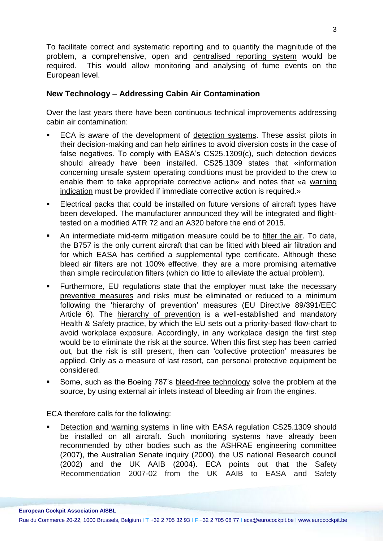To facilitate correct and systematic reporting and to quantify the magnitude of the problem, a comprehensive, open and centralised reporting system would be required. This would allow monitoring and analysing of fume events on the European level.

# **New Technology – Addressing Cabin Air Contamination**

Over the last years there have been continuous technical improvements addressing cabin air contamination:

- ECA is aware of the development of detection systems. These assist pilots in their decision-making and can help airlines to avoid diversion costs in the case of false negatives. To comply with EASA's CS25.1309(c), such detection devices should already have been installed. CS25.1309 states that «information concerning unsafe system operating conditions must be provided to the crew to enable them to take appropriate corrective action» and notes that «a warning indication must be provided if immediate corrective action is required.»
- Electrical packs that could be installed on future versions of aircraft types have been developed. The manufacturer announced they will be integrated and flighttested on a modified ATR 72 and an A320 before the end of 2015.
- An intermediate mid-term mitigation measure could be to filter the air. To date, the B757 is the only current aircraft that can be fitted with bleed air filtration and for which EASA has certified a supplemental type certificate. Although these bleed air filters are not 100% effective, they are a more promising alternative than simple recirculation filters (which do little to alleviate the actual problem).
- **Furthermore, EU regulations state that the employer must take the necessary** preventive measures and risks must be eliminated or reduced to a minimum following the 'hierarchy of prevention' measures (EU [Directive 89/391/EEC](https://osha.europa.eu/the-osh-framework-directive/1) Article 6). The hierarchy of prevention is a well-established and mandatory Health & Safety practice, by which the EU sets out a priority-based flow-chart to avoid workplace exposure. Accordingly, in any workplace design the first step would be to eliminate the risk at the source. When this first step has been carried out, but the risk is still present, then can 'collective protection' measures be applied. Only as a measure of last resort, can personal protective equipment be considered.
- Some, such as the Boeing 787's bleed-free technology solve the problem at the source, by using external air inlets instead of bleeding air from the engines.

ECA therefore calls for the following:

 Detection and warning systems in line with EASA regulation CS25.1309 should be installed on all aircraft. Such monitoring systems have already been recommended by other bodies such as the ASHRAE engineering committee (2007), the Australian Senate inquiry (2000), the US national Research council (2002) and the UK AAIB (2004). ECA points out that the Safety Recommendation 2007-02 from the UK AAIB to EASA and Safety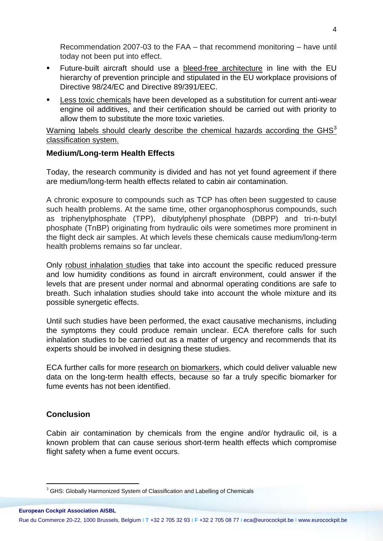Recommendation 2007-03 to the FAA – that recommend monitoring – have until today not been put into effect.

- Future-built aircraft should use a bleed-free architecture in line with the EU hierarchy of prevention principle and stipulated in the EU workplace provisions of Directive 98/24/EC and Directive 89/391/EEC.
- Less toxic chemicals have been developed as a substitution for current anti-wear engine oil additives, and their certification should be carried out with priority to allow them to substitute the more toxic varieties.

Warning labels should clearly describe the chemical hazards according the  $GHS<sup>3</sup>$ classification system.

# **Medium/Long-term Health Effects**

Today, the research community is divided and has not yet found agreement if there are medium/long-term health effects related to cabin air contamination.

A chronic exposure to compounds such as TCP has often been suggested to cause such health problems. At the same time, other organophosphorus compounds, such as triphenylphosphate (TPP), dibutylphenyl phosphate (DBPP) and tri-n-butyl phosphate (TnBP) originating from hydraulic oils were sometimes more prominent in the flight deck air samples. At which levels these chemicals cause medium/long-term health problems remains so far unclear.

Only robust inhalation studies that take into account the specific reduced pressure and low humidity conditions as found in aircraft environment, could answer if the levels that are present under normal and abnormal operating conditions are safe to breath. Such inhalation studies should take into account the whole mixture and its possible synergetic effects.

Until such studies have been performed, the exact causative mechanisms, including the symptoms they could produce remain unclear. ECA therefore calls for such inhalation studies to be carried out as a matter of urgency and recommends that its experts should be involved in designing these studies.

ECA further calls for more research on biomarkers, which could deliver valuable new data on the long-term health effects, because so far a truly specific biomarker for fume events has not been identified.

# **Conclusion**

Cabin air contamination by chemicals from the engine and/or hydraulic oil, is a known problem that can cause serious short-term health effects which compromise flight safety when a fume event occurs.

 $3$  GHS: Globally Harmonized System of Classification and Labelling of Chemicals